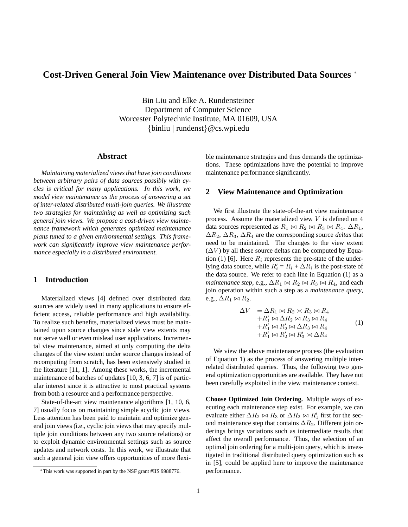# **Cost-Driven General Join View Maintenance over Distributed Data Sources** <sup>∗</sup>

Bin Liu and Elke A. Rundensteiner Department of Computer Science Worcester Polytechnic Institute, MA 01609, USA {binliu | rundenst}@cs.wpi.edu

#### **Abstract**

*Maintaining materialized views that have join conditions between arbitrary pairs of data sources possibly with cycles is critical for many applications. In this work, we model view maintenance as the process of answering a set of inter-related distributed multi-join queries. We illustrate two strategies for maintaining as well as optimizing such general join views. We propose a cost-driven view maintenance framework which generates optimized maintenance plans tuned to a given environmental settings. This framework can significantly improve view maintenance performance especially in a distributed environment.*

## **1 Introduction**

Materialized views [4] defined over distributed data sources are widely used in many applications to ensure efficient access, reliable performance and high availability. To realize such benefits, materialized views must be maintained upon source changes since stale view extents may not serve well or even mislead user applications. Incremental view maintenance, aimed at only computing the delta changes of the view extent under source changes instead of recomputing from scratch, has been extensively studied in the literature [11, 1]. Among these works, the incremental maintenance of batches of updates [10, 3, 6, 7] is of particular interest since it is attractive to most practical systems from both a resource and a performance perspective.

State-of-the-art view maintenance algorithms [1, 10, 6, 7] usually focus on maintaining simple acyclic join views. Less attention has been paid to maintain and optimize general join views (i.e., cyclic join views that may specify multiple join conditions between any two source relations) or to exploit dynamic environmental settings such as source updates and network costs. In this work, we illustrate that such a general join view offers opportunities of more flexible maintenance strategies and thus demands the optimizations. These optimizations have the potential to improve maintenance performance significantly.

#### **2 View Maintenance and Optimization**

We first illustrate the state-of-the-art view maintenance process. Assume the materialized view  $V$  is defined on  $4$ data sources represented as  $R_1 \bowtie R_2 \bowtie R_3 \bowtie R_4$ .  $\Delta R_1$ , ∆R2, ∆R3, ∆R<sup>4</sup> are the corresponding source *deltas* that need to be maintained. The changes to the view extent  $(\Delta V)$  by all these source deltas can be computed by Equation (1) [6]. Here  $R_i$  represents the pre-state of the underlying data source, while  $R'_i = R_i + \Delta R_i$  is the post-state of the data source. We refer to each line in Equation (1) as a *maintenance step*, e.g.,  $\Delta R_1 \bowtie R_2 \bowtie R_3 \bowtie R_4$ , and each join operation within such a step as a *maintenance query*, e.g.,  $\Delta R_1 \bowtie R_2$ .

$$
\Delta V = \Delta R_1 \bowtie R_2 \bowtie R_3 \bowtie R_4 + R'_1 \bowtie \Delta R_2 \bowtie R_3 \bowtie R_4 + R'_1 \bowtie R'_2 \bowtie \Delta R_3 \bowtie R_4 + R'_1 \bowtie R'_2 \bowtie R'_3 \bowtie \Delta R_4
$$
(1)

We view the above maintenance process (the evaluation of Equation 1) as the process of answering multiple interrelated distributed queries. Thus, the following two general optimization opportunities are available. They have not been carefully exploited in the view maintenance context.

**Choose Optimized Join Ordering.** Multiple ways of executing each maintenance step exist. For example, we can evaluate either  $\Delta R_2 \bowtie R_3$  or  $\Delta R_2 \bowtie R'_1$  first for the second maintenance step that contains  $\Delta R_2$ . Different join orderings brings variations such as intermediate results that affect the overall performance. Thus, the selection of an optimal join ordering for a multi-join query, which is investigated in traditional distributed query optimization such as in [5], could be applied here to improve the maintenance performance.

<sup>∗</sup>This work was supported in part by the NSF grant #IIS 9988776.